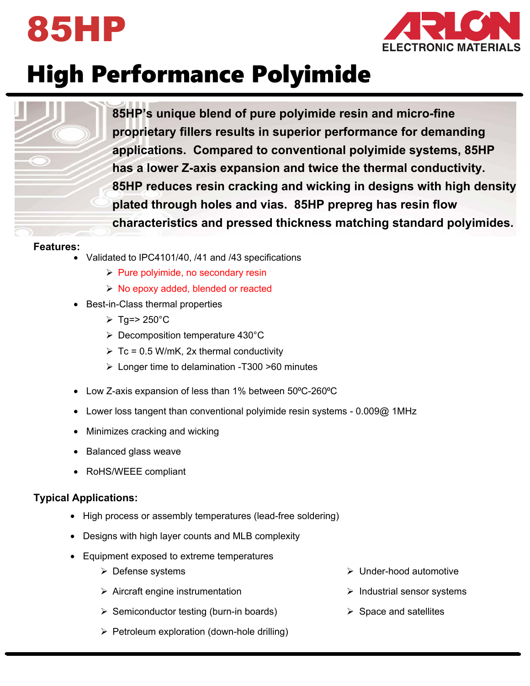



# High Performance Polyimide

**85HP's unique blend of pure polyimide resin and micro-fine proprietary fillers results in superior performance for demanding applications. Compared to conventional polyimide systems, 85HP has a lower Z-axis expansion and twice the thermal conductivity. 85HP reduces resin cracking and wicking in designs with high density plated through holes and vias. 85HP prepreg has resin flow characteristics and pressed thickness matching standard polyimides.** 

#### **Features:**

- Validated to IPC4101/40, /41 and /43 specifications
	- $\triangleright$  Pure polyimide, no secondary resin
	- $\triangleright$  No epoxy added, blended or reacted
- Best-in-Class thermal properties
	- $\triangleright$  Tg=> 250°C
	- Decomposition temperature 430°C
	- $\triangleright$  Tc = 0.5 W/mK, 2x thermal conductivity
	- Longer time to delamination -T300 >60 minutes
- Low Z-axis expansion of less than 1% between 50°C-260°C
- Lower loss tangent than conventional polyimide resin systems 0.009@ 1MHz
- Minimizes cracking and wicking
- Balanced glass weave
- RoHS/WEEE compliant

#### **Typical Applications:**

- High process or assembly temperatures (lead-free soldering)
- Designs with high layer counts and MLB complexity
- Equipment exposed to extreme temperatures
	- $\triangleright$  Defense systems
	- $\triangleright$  Aircraft engine instrumentation
	- $\triangleright$  Semiconductor testing (burn-in boards)
	- $\triangleright$  Petroleum exploration (down-hole drilling)
- Under-hood automotive
- $\triangleright$  Industrial sensor systems
- $\triangleright$  Space and satellites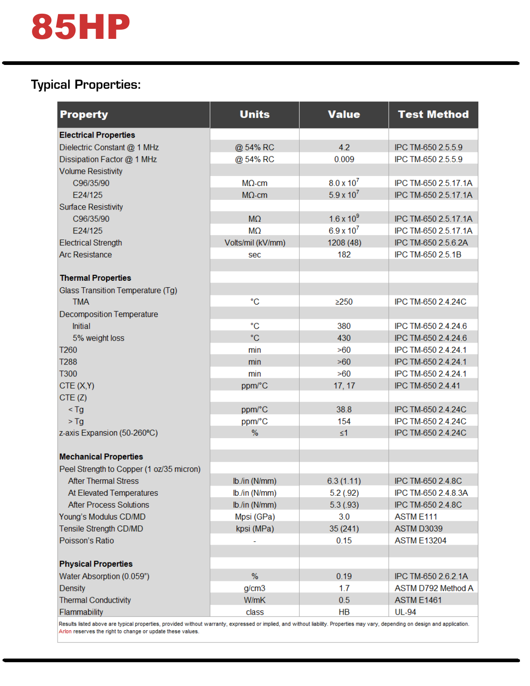# 85HP

## Typical Properties:

| <b>Property</b>                          | <b>Units</b>      | <b>Value</b>        | <b>Test Method</b>               |
|------------------------------------------|-------------------|---------------------|----------------------------------|
| <b>Electrical Properties</b>             |                   |                     |                                  |
| Dielectric Constant @ 1 MHz              | @ 54% RC          | 4.2                 | IPC TM-650 2.5.5.9               |
| Dissipation Factor @ 1 MHz               | @ 54% RC          | 0.009               | IPC TM-650 2.5.5.9               |
| <b>Volume Resistivity</b>                |                   |                     |                                  |
| C96/35/90                                | $MO$ -cm          | $8.0 \times 10^{7}$ | IPC TM-650 2.5.17.1A             |
| F24/125                                  | $M\Omega$ -cm     | $5.9 \times 10^{7}$ | IPC TM-650 2.5.17.1A             |
| <b>Surface Resistivity</b>               |                   |                     |                                  |
| C96/35/90                                | M <sub>2</sub>    | $1.6 \times 10^{9}$ | IPC TM-650 2.5.17.1A             |
| E24/125                                  | <b>MO</b>         | $6.9 \times 10^{7}$ | IPC TM-650 2.5.17.1A             |
| <b>Electrical Strength</b>               | Volts/mil (kV/mm) | 1208 (48)           | IPC TM-650 2.5.6.2A              |
| <b>Arc Resistance</b>                    | sec               | 182                 | IPC TM-650 2.5.1B                |
|                                          |                   |                     |                                  |
| <b>Thermal Properties</b>                |                   |                     |                                  |
| Glass Transition Temperature (Tg)        |                   |                     |                                  |
| <b>TMA</b>                               | °C                | $\geq$ 250          | IPC TM-650 2.4.24C               |
| <b>Decomposition Temperature</b>         |                   |                     |                                  |
| <b>Initial</b>                           | $^{\circ}C$       | 380                 | IPC TM-650 2.4.24.6              |
| 5% weight loss                           | °C                | 430                 | IPC TM-650 2.4.24.6              |
| T260                                     | min               | >60                 | IPC TM-650 2.4.24.1              |
| <b>T288</b>                              | min               | >60                 | IPC TM-650 2.4.24.1              |
| <b>T300</b>                              | min               | >60                 | IPC TM-650 2.4.24.1              |
| CTE(X,Y)                                 | ppm/°C            | 17, 17              | IPC TM-650 2.4.41                |
| CTE(Z)                                   |                   |                     |                                  |
| $<$ Tg                                   | ppm/°C            | 38.8                | IPC TM-650 2.4.24C               |
| $>$ Tg                                   | ppm/°C            | 154                 | IPC TM-650 2.4.24C               |
| z-axis Expansion (50-260°C)              | $\%$              | $\leq 1$            | IPC TM-650 2.4.24C               |
|                                          |                   |                     |                                  |
| <b>Mechanical Properties</b>             |                   |                     |                                  |
| Peel Strength to Copper (1 oz/35 micron) |                   |                     |                                  |
| <b>After Thermal Stress</b>              | lb./in (N/mm)     | 6.3(1.11)           | IPC TM-650 2.4.8C                |
| At Elevated Temperatures                 | lb./in (N/mm)     | 5.2(0.92)           | IPC TM-650 2.4.8.3A              |
| <b>After Process Solutions</b>           | lb./in (N/mm)     | 5.3(93)             | IPC TM-650 2.4.8C                |
| Young's Modulus CD/MD                    | Mpsi (GPa)        | 3.0                 | ASTM E111                        |
| Tensile Strength CD/MD                   | kpsi (MPa)        | 35 (241)            | ASTM D3039                       |
| Poisson's Ratio                          |                   | 0.15                | <b>ASTM E13204</b>               |
|                                          |                   |                     |                                  |
| <b>Physical Properties</b>               | $\%$              |                     |                                  |
| Water Absorption (0.059")                |                   | 0.19                | IPC TM-650 2.6.2.1A              |
| <b>Density</b>                           | g/cm3<br>W/mK     | 1.7                 | ASTM D792 Method A<br>ASTM E1461 |
| <b>Thermal Conductivity</b>              |                   | 0.5                 |                                  |
| Flammability                             | class             | HВ                  | <b>UL-94</b>                     |

Results listed above are typical properties, provided without warranty, expressed or implied, and without liability. Properties may vary, depending on design and application. Arlon reserves the right to change or update these values.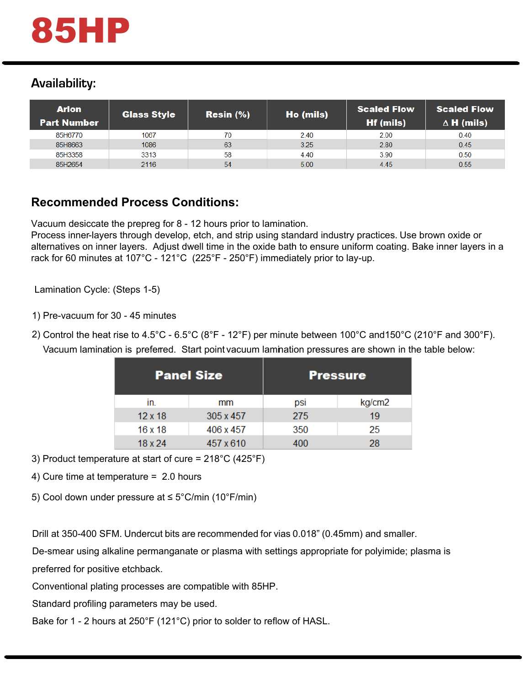## Availability:

| <b>Arlon</b><br><b>Part Number</b> | <b>Glass Style</b> | Resin (%) | Ho (mils) | <b>Scaled Flow</b><br><b>Hf (mils)</b> | <b>Scaled Flow</b><br>$\Delta$ H (mils) |
|------------------------------------|--------------------|-----------|-----------|----------------------------------------|-----------------------------------------|
| 85H6770                            | 1067               | 70        | 2.40      | 2.00                                   | 0.40                                    |
| 85H8663                            | 1086               | 63        | 3.25      | 2.80                                   | 0.45                                    |
| 85H3358                            | 3313               | 58        | 4.40      | 3.90                                   | 0.50                                    |
| 85H2654                            | 2116               | 54        | 5.00      | 4.45                                   | 0.55                                    |
|                                    |                    |           |           |                                        |                                         |

## **Recommended Process Conditions:**

Vacuum desiccate the prepreg for  $8$  - 12 hours prior to lamination.  $\,$ 

Process inner-layers through develop, etch, and strip using standard industry practices. Use brown oxide or alternatives on inner layers. Adjust dwell time in the oxide bath to ensure uniform coating. Bake inner layers in a rack for 60 minutes at 107°C - 121°C (225°F - 250°F) immediately prior to lay-up.  $\mu$  industr bes. Ose p

Lamination Cycle: (Steps 1-5)

1) Pre-vacuum for  $30$  - 45 minutes

2) Control the heat rise to 4.5°C - 6.5°C (8°F - 12°F) per minute between 100°C and150°C (210°F and 300°F). Vacuum lamination is preferred. Start point vacuum lamination pressures are shown in the table below:  $\overline{\phantom{a}}$  $\overline{\phantom{a}}$  $\overline{a}$  $\overline{a}$  $\frac{1}{2}$ .

| <b>Panel Size</b> |                | <b>Pressure</b> |     |        |  |  |
|-------------------|----------------|-----------------|-----|--------|--|--|
| In.               |                | mm              | psi | kg/cm2 |  |  |
|                   | $12 \times 18$ | 305 x 457       | 275 | 19     |  |  |
|                   | 16x18          | 406 x 457       | 350 | 25     |  |  |
|                   | 18 x 24        | 457 x 610       | 400 | 28     |  |  |

3) Product temperature at start of cure = 218°C (425°F)

4) Cure time at temperature = 2.0 hours

5) Cool down under pressure at ≤ 5°C/min (10°F/min)

Drill at 350-400 SFM. Undercut bits are recommended for vias 0.018" (0.45mm) and smaller.

De-smear using alkaline permanganate or plasma with settings appropriate for polyimide; plasma is preferred for positive etchback.

Conventional plating processes are compatible with 85HP.

Standard profiling parameters may be used.

Bake for 1 - 2 hours at 250°F (121°C) prior to solder to reflow of HASL.